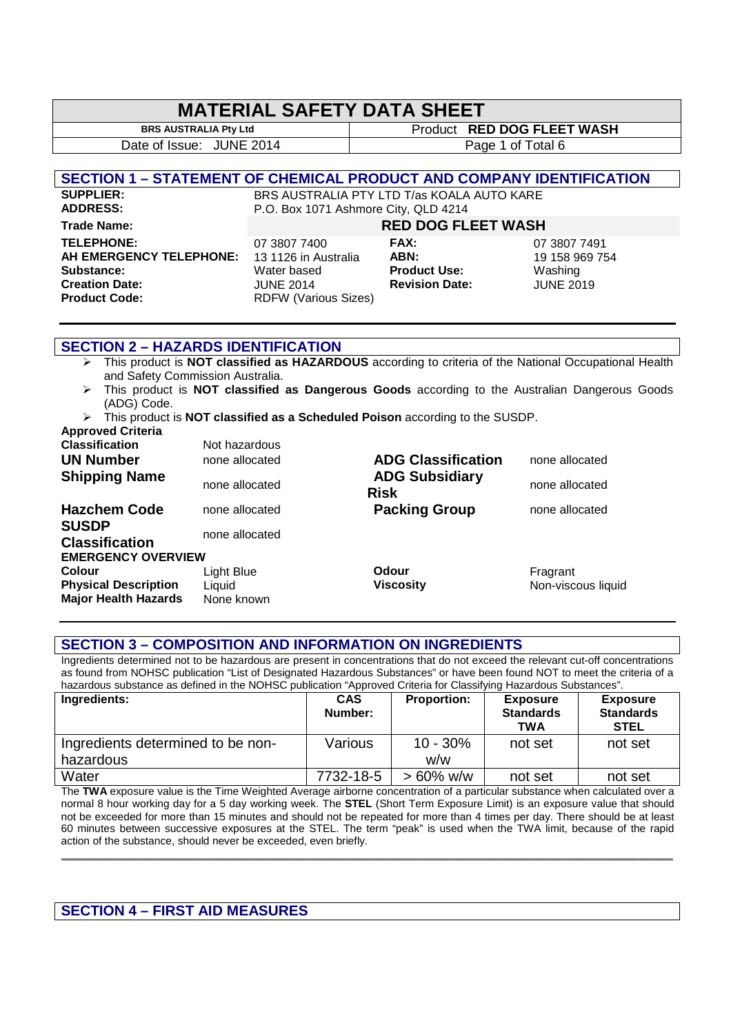### **MATERIAL SAFETY DATA SHEET**

**BRS AUSTRALIA Pty Ltd Product RED DOG FLEET WASH** Date of Issue: JUNE 2014 Page 1 of Total 6

**SECTION 1 – STATEMENT OF CHEMICAL PRODUCT AND COMPANY IDENTIFICATION**

**SUPPLIER:** BRS AUSTRALIA PTY LTD T/as KOALA AUTO KARE<br> **ADDRESS:** P.O. Box 1071 Ashmore City. OLD 4214 P.O. Box 1071 Ashmore City, QLD 4214

**Trade Name: RED DOG FLEET WASH TELEPHONE:** 07 3807 7400 **FAX:** 07 3807 7491 **AH EMERGENCY TELEPHONE:** 13 1126 in Australia **ABN:** 19 158 969 754 **Substance:** Water based **Product Use:** Washing **Creation Date:** JUNE 2014 **Revision Date:** JUNE 2019<br>**Product Code:** RDFW (Various Sizes)

**RDFW (Various Sizes)** 

### **SECTION 2 – HAZARDS IDENTIFICATION**

- This product is **NOT classified as HAZARDOUS** according to criteria of the National Occupational Health and Safety Commission Australia.
- This product is **NOT classified as Dangerous Goods** according to the Australian Dangerous Goods (ADG) Code.
- This product is **NOT classified as a Scheduled Poison** according to the SUSDP.

| <b>Approved Criteria</b>              |                |                                      |                    |
|---------------------------------------|----------------|--------------------------------------|--------------------|
| <b>Classification</b>                 | Not hazardous  |                                      |                    |
| <b>UN Number</b>                      | none allocated | <b>ADG Classification</b>            | none allocated     |
| <b>Shipping Name</b>                  | none allocated | <b>ADG Subsidiary</b><br><b>Risk</b> | none allocated     |
| <b>Hazchem Code</b>                   | none allocated | <b>Packing Group</b>                 | none allocated     |
| <b>SUSDP</b><br><b>Classification</b> | none allocated |                                      |                    |
| <b>EMERGENCY OVERVIEW</b>             |                |                                      |                    |
| <b>Colour</b>                         | Light Blue     | Odour                                | Fragrant           |
| <b>Physical Description</b>           | Liquid         | <b>Viscosity</b>                     | Non-viscous liquid |
| <b>Major Health Hazards</b>           | None known     |                                      |                    |

### **SECTION 3 – COMPOSITION AND INFORMATION ON INGREDIENTS**

Ingredients determined not to be hazardous are present in concentrations that do not exceed the relevant cut-off concentrations as found from NOHSC publication "List of Designated Hazardous Substances" or have been found NOT to meet the criteria of a hazardous substance as defined in the NOHSC publication "Approved Criteria for Classifying Hazardous Substances".

| Ingredients:                      | <b>CAS</b><br>Number: | <b>Proportion:</b> | <b>Exposure</b><br><b>Standards</b><br><b>TWA</b> | <b>Exposure</b><br><b>Standards</b><br><b>STEL</b> |
|-----------------------------------|-----------------------|--------------------|---------------------------------------------------|----------------------------------------------------|
| Ingredients determined to be non- | Various               | $10 - 30%$         | not set                                           | not set                                            |
| hazardous                         |                       | w/w                |                                                   |                                                    |
| Water                             | 7732-18-5             | $> 60\%$ w/w       | not set                                           | not set                                            |

The **TWA** exposure value is the Time Weighted Average airborne concentration of a particular substance when calculated over a normal 8 hour working day for a 5 day working week. The **STEL** (Short Term Exposure Limit) is an exposure value that should not be exceeded for more than 15 minutes and should not be repeated for more than 4 times per day. There should be at least 60 minutes between successive exposures at the STEL. The term "peak" is used when the TWA limit, because of the rapid action of the substance, should never be exceeded, even briefly.

**\_\_\_\_\_\_\_\_\_\_\_\_\_\_\_\_\_\_\_\_\_\_\_\_\_\_\_\_\_\_\_\_\_\_\_\_\_\_\_\_\_\_\_\_\_\_\_\_\_\_\_\_\_\_\_\_\_\_\_\_\_\_\_\_\_\_\_\_\_\_\_\_\_\_\_\_\_\_\_\_\_\_\_\_\_\_\_\_\_\_\_\_** 

### **SECTION 4 – FIRST AID MEASURES**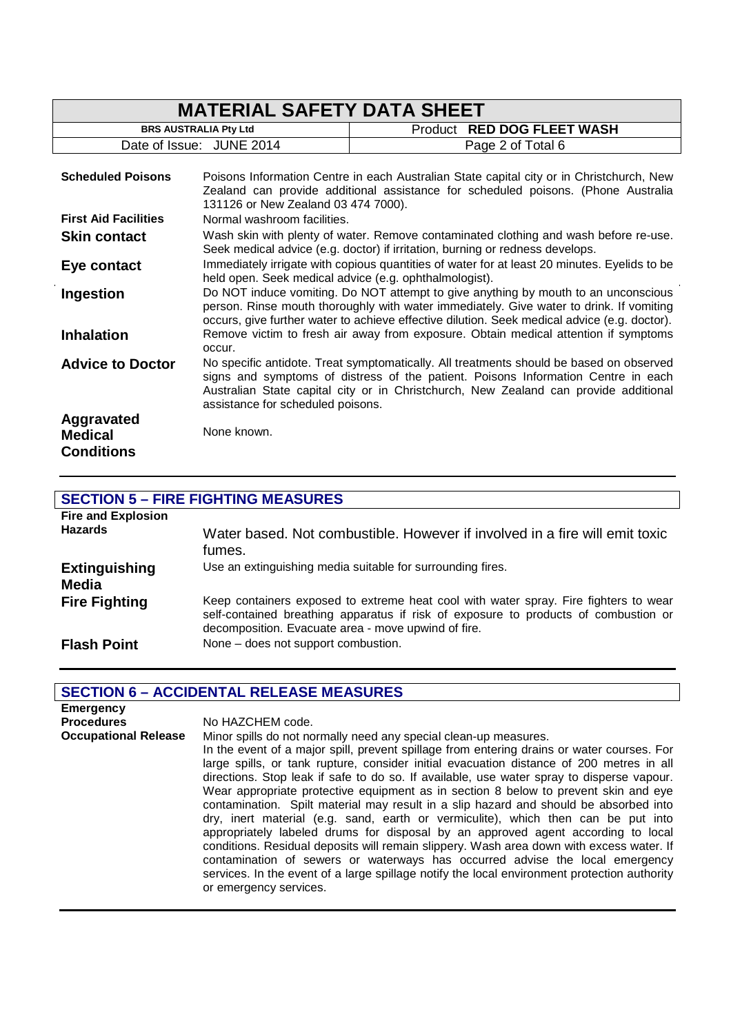|                                                   | <b>MATERIAL SAFETY DATA SHEET</b>                      |                                                                                                                                                                                                                                                                               |
|---------------------------------------------------|--------------------------------------------------------|-------------------------------------------------------------------------------------------------------------------------------------------------------------------------------------------------------------------------------------------------------------------------------|
|                                                   | <b>BRS AUSTRALIA Pty Ltd</b>                           | <b>RED DOG FLEET WASH</b><br>Product                                                                                                                                                                                                                                          |
|                                                   | Date of Issue: JUNE 2014                               | Page 2 of Total 6                                                                                                                                                                                                                                                             |
| <b>Scheduled Poisons</b>                          | 131126 or New Zealand 03 474 7000).                    | Poisons Information Centre in each Australian State capital city or in Christchurch, New<br>Zealand can provide additional assistance for scheduled poisons. (Phone Australia                                                                                                 |
| <b>First Aid Facilities</b>                       | Normal washroom facilities.                            |                                                                                                                                                                                                                                                                               |
| <b>Skin contact</b>                               |                                                        | Wash skin with plenty of water. Remove contaminated clothing and wash before re-use.<br>Seek medical advice (e.g. doctor) if irritation, burning or redness develops.                                                                                                         |
| Eye contact                                       | held open. Seek medical advice (e.g. ophthalmologist). | Immediately irrigate with copious quantities of water for at least 20 minutes. Eyelids to be                                                                                                                                                                                  |
| Ingestion                                         |                                                        | Do NOT induce vomiting. Do NOT attempt to give anything by mouth to an unconscious<br>person. Rinse mouth thoroughly with water immediately. Give water to drink. If vomiting<br>occurs, give further water to achieve effective dilution. Seek medical advice (e.g. doctor). |
| <b>Inhalation</b>                                 | occur.                                                 | Remove victim to fresh air away from exposure. Obtain medical attention if symptoms                                                                                                                                                                                           |
| <b>Advice to Doctor</b>                           | assistance for scheduled poisons.                      | No specific antidote. Treat symptomatically. All treatments should be based on observed<br>signs and symptoms of distress of the patient. Poisons Information Centre in each<br>Australian State capital city or in Christchurch, New Zealand can provide additional          |
| Aggravated<br><b>Medical</b><br><b>Conditions</b> | None known.                                            |                                                                                                                                                                                                                                                                               |

### **SECTION 5 – FIRE FIGHTING MEASURES**

| <b>Fire and Explosion</b><br><b>Hazards</b> | Water based. Not combustible. However if involved in a fire will emit toxic<br>fumes.                                                                                                                                              |
|---------------------------------------------|------------------------------------------------------------------------------------------------------------------------------------------------------------------------------------------------------------------------------------|
| <b>Extinguishing</b><br>Media               | Use an extinguishing media suitable for surrounding fires.                                                                                                                                                                         |
| <b>Fire Fighting</b>                        | Keep containers exposed to extreme heat cool with water spray. Fire fighters to wear<br>self-contained breathing apparatus if risk of exposure to products of combustion or<br>decomposition. Evacuate area - move upwind of fire. |
| <b>Flash Point</b>                          | None - does not support combustion.                                                                                                                                                                                                |

### **SECTION 6 – ACCIDENTAL RELEASE MEASURES**

| <b>Emergency</b>            |                                                                                                                                                                                                                                                                                                                                                                                                                                                                                                                                                                                                                                                                                                                                                                                                                                                                                                                                                                                                                        |
|-----------------------------|------------------------------------------------------------------------------------------------------------------------------------------------------------------------------------------------------------------------------------------------------------------------------------------------------------------------------------------------------------------------------------------------------------------------------------------------------------------------------------------------------------------------------------------------------------------------------------------------------------------------------------------------------------------------------------------------------------------------------------------------------------------------------------------------------------------------------------------------------------------------------------------------------------------------------------------------------------------------------------------------------------------------|
| <b>Procedures</b>           | No HAZCHEM code.                                                                                                                                                                                                                                                                                                                                                                                                                                                                                                                                                                                                                                                                                                                                                                                                                                                                                                                                                                                                       |
| <b>Occupational Release</b> | Minor spills do not normally need any special clean-up measures.<br>In the event of a major spill, prevent spillage from entering drains or water courses. For<br>large spills, or tank rupture, consider initial evacuation distance of 200 metres in all<br>directions. Stop leak if safe to do so. If available, use water spray to disperse vapour.<br>Wear appropriate protective equipment as in section 8 below to prevent skin and eye<br>contamination. Spilt material may result in a slip hazard and should be absorbed into<br>dry, inert material (e.g. sand, earth or vermiculite), which then can be put into<br>appropriately labeled drums for disposal by an approved agent according to local<br>conditions. Residual deposits will remain slippery. Wash area down with excess water. If<br>contamination of sewers or waterways has occurred advise the local emergency<br>services. In the event of a large spillage notify the local environment protection authority<br>or emergency services. |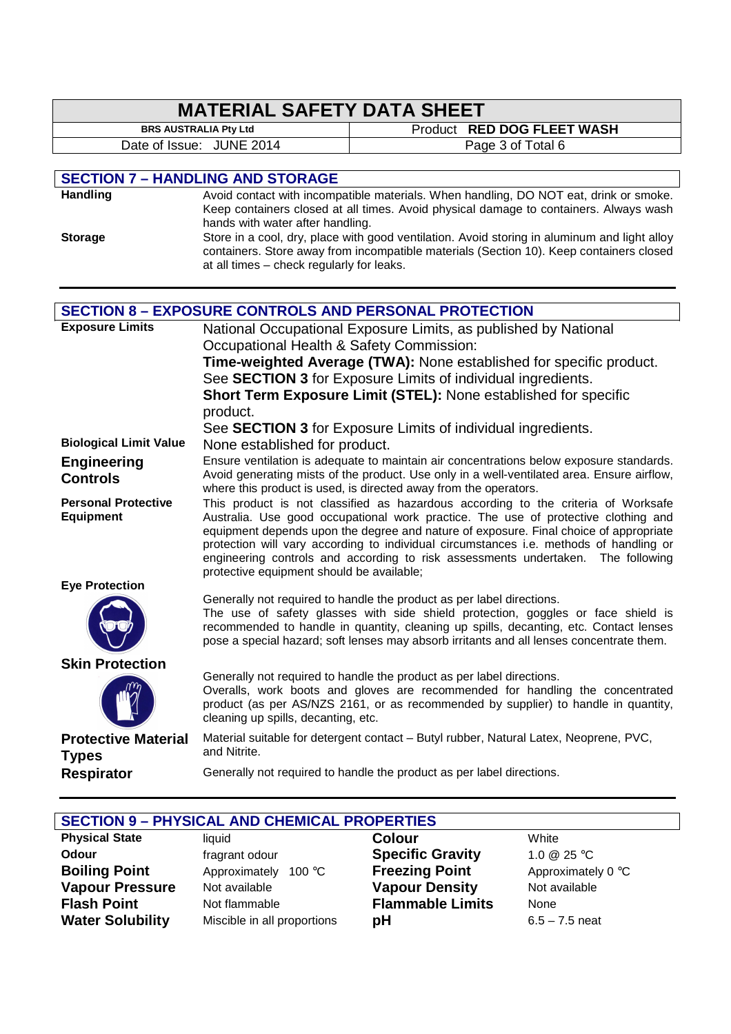#### **MATERIAL SAFETY DATA SHEET**<br>BRS AUSTRALIA Pty Ltd **Product RED DOG FLEET WASH** Date of Issue: JUNE 2014 Page 3 of Total 6 **SECTION 7 – HANDLING AND STORAGE** Handling **Handling** Avoid contact with incompatible materials. When handling, DO NOT eat, drink or smoke. Keep containers closed at all times. Avoid physical damage to containers. Always wash hands with water after handling. **Storage** Store in a cool, dry, place with good ventilation. Avoid storing in aluminum and light alloy containers. Store away from incompatible materials (Section 10). Keep containers closed at all times – check regularly for leaks. **SECTION 8 – EXPOSURE CONTROLS AND PERSONAL PROTECTION Exposure Limits** National Occupational Exposure Limits, as published by National Occupational Health & Safety Commission: **Time-weighted Average (TWA):** None established for specific product. See **SECTION 3** for Exposure Limits of individual ingredients. **Short Term Exposure Limit (STEL):** None established for specific product. See **SECTION 3** for Exposure Limits of individual ingredients. **Biological Limit Value** None established for product. **Engineering Controls**  Ensure ventilation is adequate to maintain air concentrations below exposure standards. Avoid generating mists of the product. Use only in a well-ventilated area. Ensure airflow, where this product is used, is directed away from the operators. **Personal Protective Equipment**  This product is not classified as hazardous according to the criteria of Worksafe Australia. Use good occupational work practice. The use of protective clothing and equipment depends upon the degree and nature of exposure. Final choice of appropriate protection will vary according to individual circumstances i.e. methods of handling or engineering controls and according to risk assessments undertaken. The following protective equipment should be available; **Eye Protection** Generally not required to handle the product as per label directions. The use of safety glasses with side shield protection, goggles or face shield is recommended to handle in quantity, cleaning up spills, decanting, etc. Contact lenses pose a special hazard; soft lenses may absorb irritants and all lenses concentrate them. **Skin Protection** Generally not required to handle the product as per label directions. Overalls, work boots and gloves are recommended for handling the concentrated product (as per AS/NZS 2161, or as recommended by supplier) to handle in quantity, cleaning up spills, decanting, etc. **Protective Material Types**  Material suitable for detergent contact – Butyl rubber, Natural Latex, Neoprene, PVC, and Nitrite. **Respirator**

|  | Generally not required to handle the product as per label directions. |
|--|-----------------------------------------------------------------------|
|--|-----------------------------------------------------------------------|

|                         | <b>SECTION 9 - PHYSICAL AND CHEMICAL PROPERTIES</b> |                         |                    |
|-------------------------|-----------------------------------------------------|-------------------------|--------------------|
| <b>Physical State</b>   | liquid                                              | <b>Colour</b>           | White              |
| <b>Odour</b>            | fragrant odour                                      | <b>Specific Gravity</b> | 1.0 $@$ 25 °C      |
| <b>Boiling Point</b>    | Approximately<br>100 °C                             | <b>Freezing Point</b>   | Approximately 0 °C |
| <b>Vapour Pressure</b>  | Not available                                       | <b>Vapour Density</b>   | Not available      |
| <b>Flash Point</b>      | Not flammable                                       | <b>Flammable Limits</b> | None               |
| <b>Water Solubility</b> | Miscible in all proportions                         | рH                      | $6.5 - 7.5$ neat   |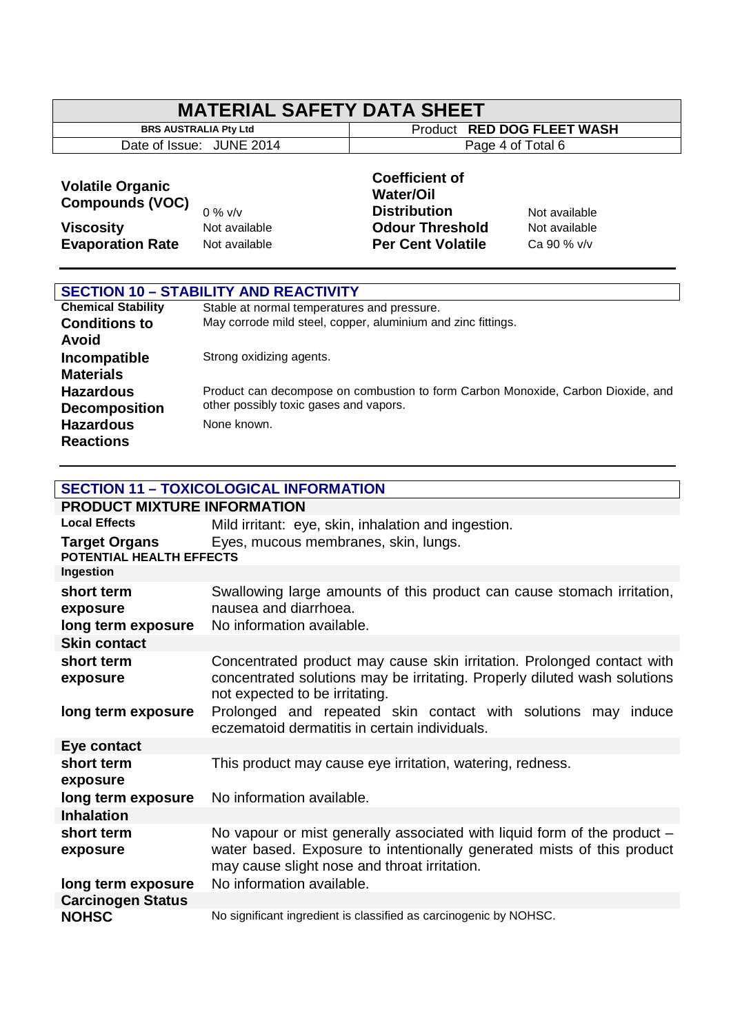## **MATERIAL SAFETY DATA SHEET**<br>BRS AUSTRALIA Pty Ltd

Date of Issue: JUNE 2014

**Product RED DOG FLEET WASH**<br>Page 4 of Total 6

### **Volatile Organic Compounds (VOC)**

 $\lceil$ 

# 0 % v/v

### **Coefficient of Water/Oil Distribution** Not available **Viscosity Not available Odour Threshold** Not available **Evaporation Rate** Not available **Per Cent Volatile** Ca 90 % v/v

|                           | <b>SECTION 10 - STABILITY AND REACTIVITY</b>                                     |
|---------------------------|----------------------------------------------------------------------------------|
|                           |                                                                                  |
| <b>Chemical Stability</b> | Stable at normal temperatures and pressure.                                      |
| <b>Conditions to</b>      | May corrode mild steel, copper, aluminium and zinc fittings.                     |
| <b>Avoid</b>              |                                                                                  |
| Incompatible              | Strong oxidizing agents.                                                         |
| <b>Materials</b>          |                                                                                  |
| <b>Hazardous</b>          | Product can decompose on combustion to form Carbon Monoxide, Carbon Dioxide, and |
| <b>Decomposition</b>      | other possibly toxic gases and vapors.                                           |
| <b>Hazardous</b>          | None known.                                                                      |
| <b>Reactions</b>          |                                                                                  |

### **SECTION 11 – TOXICOLOGICAL INFORMATION**

| <b>PRODUCT MIXTURE INFORMATION</b>           |                                                                                                                                                                                                    |
|----------------------------------------------|----------------------------------------------------------------------------------------------------------------------------------------------------------------------------------------------------|
| <b>Local Effects</b>                         | Mild irritant: eye, skin, inhalation and ingestion.                                                                                                                                                |
| Target Organs<br>POTENTIAL HEALTH EFFECTS    | Eyes, mucous membranes, skin, lungs.                                                                                                                                                               |
| Ingestion                                    |                                                                                                                                                                                                    |
| short term<br>exposure<br>long term exposure | Swallowing large amounts of this product can cause stomach irritation,<br>nausea and diarrhoea.<br>No information available.                                                                       |
| <b>Skin contact</b>                          |                                                                                                                                                                                                    |
| short term<br>exposure                       | Concentrated product may cause skin irritation. Prolonged contact with<br>concentrated solutions may be irritating. Properly diluted wash solutions<br>not expected to be irritating.              |
| long term exposure                           | Prolonged and repeated skin contact with solutions may induce<br>eczematoid dermatitis in certain individuals.                                                                                     |
| Eye contact                                  |                                                                                                                                                                                                    |
| short term<br>exposure                       | This product may cause eye irritation, watering, redness.                                                                                                                                          |
| long term exposure                           | No information available.                                                                                                                                                                          |
| <b>Inhalation</b>                            |                                                                                                                                                                                                    |
| short term<br>exposure                       | No vapour or mist generally associated with liquid form of the product -<br>water based. Exposure to intentionally generated mists of this product<br>may cause slight nose and throat irritation. |
| long term exposure                           | No information available.                                                                                                                                                                          |
| <b>Carcinogen Status</b>                     |                                                                                                                                                                                                    |
| <b>NOHSC</b>                                 | No significant ingredient is classified as carcinogenic by NOHSC.                                                                                                                                  |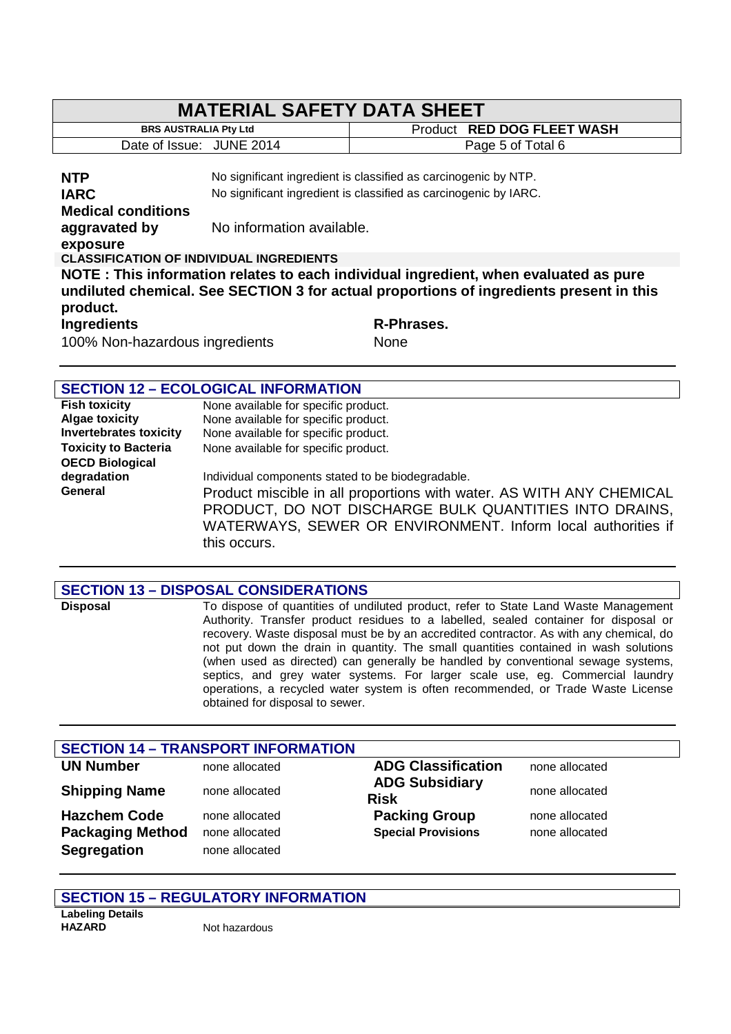| <b>MATERIAL SAFETY DATA SHEET</b>                                                       |                           |                                                                  |  |
|-----------------------------------------------------------------------------------------|---------------------------|------------------------------------------------------------------|--|
| <b>BRS AUSTRALIA Pty Ltd</b>                                                            |                           | Product RED DOG FLEET WASH                                       |  |
| Date of Issue: JUNE 2014                                                                |                           | Page 5 of Total 6                                                |  |
|                                                                                         |                           |                                                                  |  |
| <b>NTP</b>                                                                              |                           | No significant ingredient is classified as carcinogenic by NTP.  |  |
| <b>IARC</b>                                                                             |                           | No significant ingredient is classified as carcinogenic by IARC. |  |
| <b>Medical conditions</b>                                                               |                           |                                                                  |  |
| aggravated by                                                                           | No information available. |                                                                  |  |
| exposure                                                                                |                           |                                                                  |  |
| <b>CLASSIFICATION OF INDIVIDUAL INGREDIENTS</b>                                         |                           |                                                                  |  |
| NOTE: This information relates to each individual ingredient, when evaluated as pure    |                           |                                                                  |  |
| undiluted chemical. See SECTION 3 for actual proportions of ingredients present in this |                           |                                                                  |  |
| product.                                                                                |                           |                                                                  |  |
| <b>Ingredients</b>                                                                      |                           | R-Phrases.                                                       |  |
| 100% Non-hazardous ingredients                                                          |                           | None                                                             |  |
|                                                                                         |                           |                                                                  |  |
|                                                                                         |                           |                                                                  |  |

| <b>SECTION 12 - ECOLOGICAL INFORMATION</b> |                                                                                                                                                                                                                |  |
|--------------------------------------------|----------------------------------------------------------------------------------------------------------------------------------------------------------------------------------------------------------------|--|
| <b>Fish toxicity</b>                       | None available for specific product.                                                                                                                                                                           |  |
| <b>Algae toxicity</b>                      | None available for specific product.                                                                                                                                                                           |  |
| <b>Invertebrates toxicity</b>              | None available for specific product.                                                                                                                                                                           |  |
| <b>Toxicity to Bacteria</b>                | None available for specific product.                                                                                                                                                                           |  |
| <b>OECD Biological</b>                     |                                                                                                                                                                                                                |  |
| degradation                                | Individual components stated to be biodegradable.                                                                                                                                                              |  |
| General                                    | Product miscible in all proportions with water. AS WITH ANY CHEMICAL<br>PRODUCT, DO NOT DISCHARGE BULK QUANTITIES INTO DRAINS,<br>WATERWAYS, SEWER OR ENVIRONMENT. Inform local authorities if<br>this occurs. |  |

|                 | <b>SECTION 13 - DISPOSAL CONSIDERATIONS</b>                                                                                                                                                                                                                                                                                                                                                                                                                                                                                                                                                                                                               |
|-----------------|-----------------------------------------------------------------------------------------------------------------------------------------------------------------------------------------------------------------------------------------------------------------------------------------------------------------------------------------------------------------------------------------------------------------------------------------------------------------------------------------------------------------------------------------------------------------------------------------------------------------------------------------------------------|
| <b>Disposal</b> | To dispose of quantities of undiluted product, refer to State Land Waste Management<br>Authority. Transfer product residues to a labelled, sealed container for disposal or<br>recovery. Waste disposal must be by an accredited contractor. As with any chemical, do<br>not put down the drain in quantity. The small quantities contained in wash solutions<br>(when used as directed) can generally be handled by conventional sewage systems,<br>septics, and grey water systems. For larger scale use, eg. Commercial laundry<br>operations, a recycled water system is often recommended, or Trade Waste License<br>obtained for disposal to sewer. |

| <b>SECTION 14 - TRANSPORT INFORMATION</b> |                |                                      |                |  |
|-------------------------------------------|----------------|--------------------------------------|----------------|--|
| <b>UN Number</b>                          | none allocated | <b>ADG Classification</b>            | none allocated |  |
| <b>Shipping Name</b>                      | none allocated | <b>ADG Subsidiary</b><br><b>Risk</b> | none allocated |  |
| <b>Hazchem Code</b>                       | none allocated | <b>Packing Group</b>                 | none allocated |  |
| <b>Packaging Method</b>                   | none allocated | <b>Special Provisions</b>            | none allocated |  |
| <b>Segregation</b>                        | none allocated |                                      |                |  |

### **SECTION 15 – REGULATORY INFORMATION**

**Labeling Details HAZARD** Not hazardous